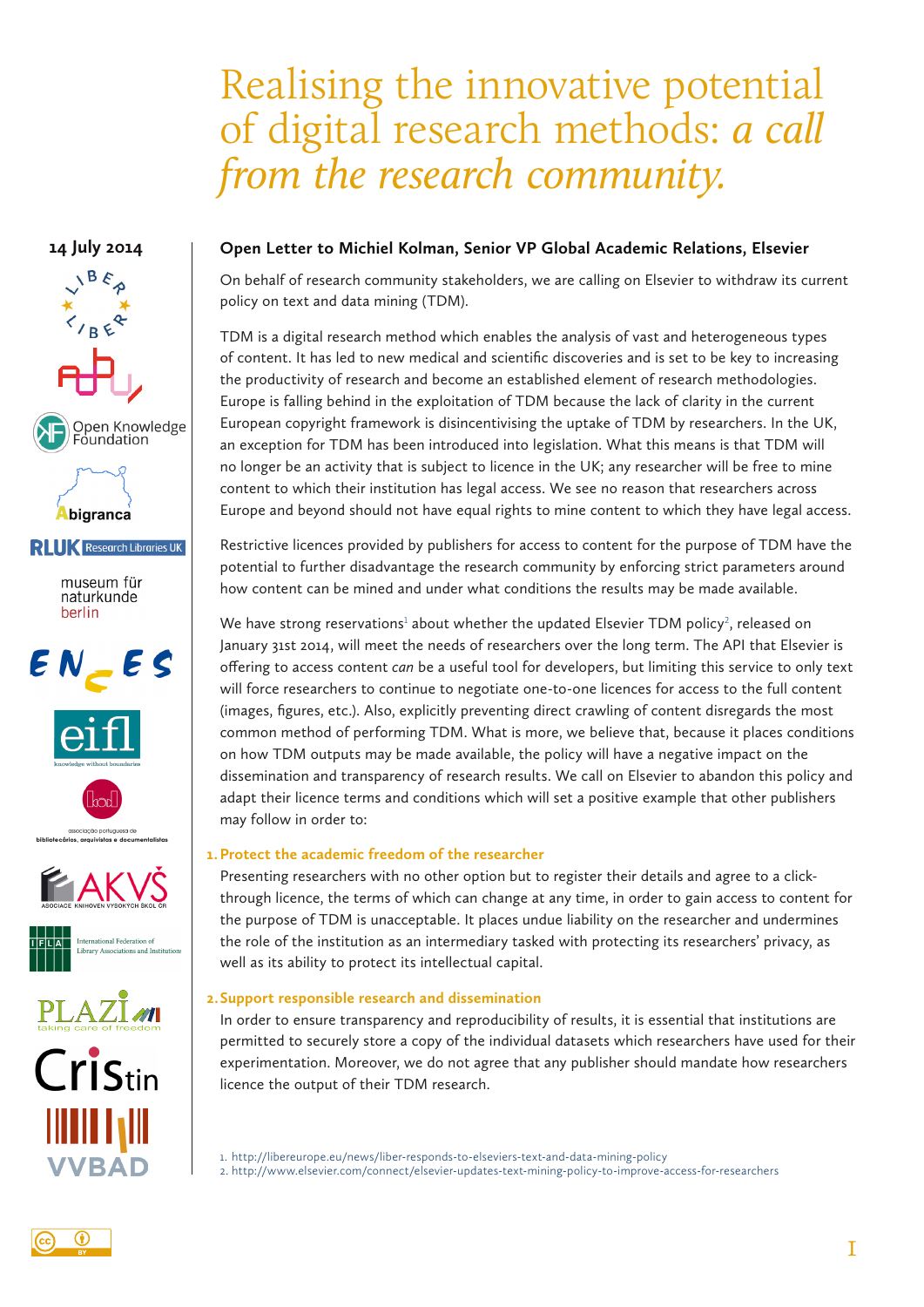# Realising the innovative potential of digital research methods: *a call from the research community.*

# **14 July 2014**



## **Open Letter to Michiel Kolman, Senior VP Global Academic Relations, Elsevier**

On behalf of research community stakeholders, we are calling on Elsevier to withdraw its current policy on text and data mining (TDM).

TDM is a digital research method which enables the analysis of vast and heterogeneous types of content. It has led to new medical and scientific discoveries and is set to be key to increasing the productivity of research and become an established element of research methodologies. Europe is falling behind in the exploitation of TDM because the lack of clarity in the current European copyright framework is disincentivising the uptake of TDM by researchers. In the UK, an exception for TDM has been introduced into legislation. What this means is that TDM will no longer be an activity that is subject to licence in the UK; any researcher will be free to mine content to which their institution has legal access. We see no reason that researchers across Europe and beyond should not have equal rights to mine content to which they have legal access.

Restrictive licences provided by publishers for access to content for the purpose of TDM have the potential to further disadvantage the research community by enforcing strict parameters around how content can be mined and under what conditions the results may be made available.

We have strong reservations<sup>1</sup> about whether the updated Elsevier TDM policy<sup>2</sup>, released on January 31st 2014, will meet the needs of researchers over the long term. The API that Elsevier is offering to access content *can* be a useful tool for developers, but limiting this service to only text will force researchers to continue to negotiate one-to-one licences for access to the full content (images, figures, etc.). Also, explicitly preventing direct crawling of content disregards the most common method of performing TDM. What is more, we believe that, because it places conditions on how TDM outputs may be made available, the policy will have a negative impact on the dissemination and transparency of research results. We call on Elsevier to abandon this policy and adapt their licence terms and conditions which will set a positive example that other publishers may follow in order to:

#### **1.Protect the academic freedom of the researcher**

Presenting researchers with no other option but to register their details and agree to a clickthrough licence, the terms of which can change at any time, in order to gain access to content for the purpose of TDM is unacceptable. It places undue liability on the researcher and undermines the role of the institution as an intermediary tasked with protecting its researchers' privacy, as well as its ability to protect its intellectual capital.

#### **2.Support responsible research and dissemination**

In order to ensure transparency and reproducibility of results, it is essential that institutions are permitted to securely store a copy of the individual datasets which researchers have used for their experimentation. Moreover, we do not agree that any publisher should mandate how researchers licence the output of their TDM research.

1. http://libereurope.eu/news/liber-responds-to-elseviers-text-and-data-mining-policy 2. http://www.elsevier.com/connect/elsevier-updates-text-mining-policy-to-improve-access-for-researchers

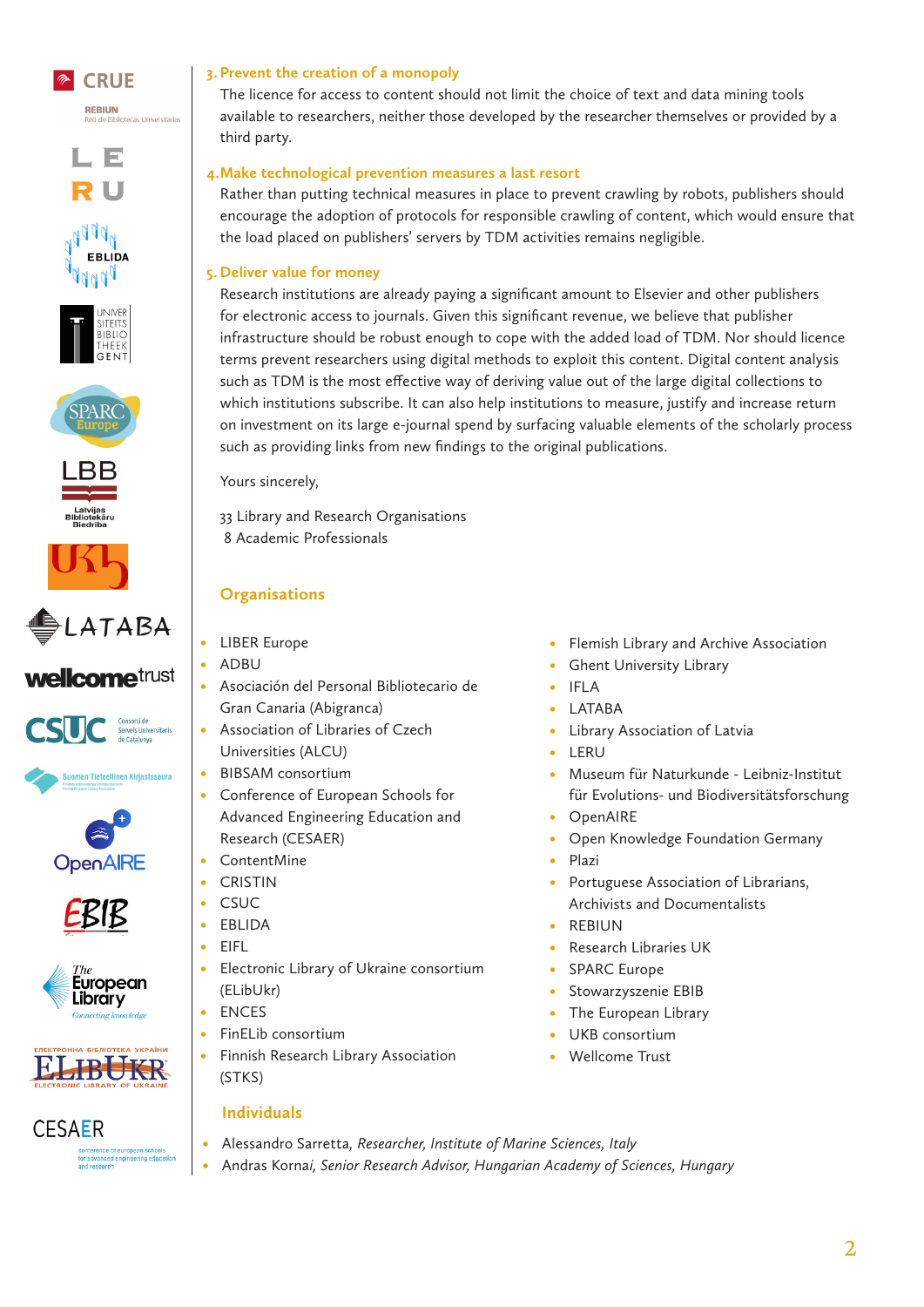













**wellcome**trust





.<br>Suomen Tieteellinen Kirjastoseura









**CESAER** interence of european scho<br>r advanced engineering edu<br>id research

#### **3. Prevent the creation of a monopoly**

The licence for access to content should not limit the choice of text and data mining tools available to researchers, neither those developed by the researcher themselves or provided by a third party.

#### **4.Make technological prevention measures a last resort**

Rather than putting technical measures in place to prevent crawling by robots, publishers should encourage the adoption of protocols for responsible crawling of content, which would ensure that the load placed on publishers' servers by TDM activities remains negligible.

#### **5. Deliver value for money**

Research institutions are already paying a significant amount to Elsevier and other publishers for electronic access to journals. Given this significant revenue, we believe that publisher infrastructure should be robust enough to cope with the added load of TDM. Nor should licence terms prevent researchers using digital methods to exploit this content. Digital content analysis such as TDM is the most effective way of deriving value out of the large digital collections to which institutions subscribe. It can also help institutions to measure, justify and increase return on investment on its large e-journal spend by surfacing valuable elements of the scholarly process such as providing links from new findings to the original publications.

Yours sincerely,

33 Library and Research Organisations 8 Academic Professionals

## **Organisations**

- **LIBER Europe**
- • ADBU
- • Asociación del Personal Bibliotecario de Gran Canaria (Abigranca)
- Association of Libraries of Czech Universities (ALCU)
- • BIBSAM consortium
- • Conference of European Schools for Advanced Engineering Education and Research (CESAER)
- • ContentMine
- • CRISTIN
- • CSUC
- • EBLIDA
- • EIFL
- • Electronic Library of Ukraine consortium (ELibUkr)
- **ENCES**
- FinELib consortium
- • Finnish Research Library Association (STKS)

#### **Individuals**

- • Alessandro Sarretta*, Researcher, Institute of Marine Sciences, Italy*
- • Andras Korna*i, Senior Research Advisor, Hungarian Academy of Sciences, Hungary*
- Flemish Library and Archive Association
- **Ghent University Library**
- • IFLA
- LATABA
- • Library Association of Latvia
- **LERU**
- • Museum für Naturkunde Leibniz-Institut für Evolutions- und Biodiversitätsforschung
- **OpenAIRE**
- Open Knowledge Foundation Germany
- **Plazi**
- Portuguese Association of Librarians, Archivists and Documentalists
- **REBIUN**
- **Research Libraries UK**
- **SPARC Europe**
- Stowarzyszenie EBIB
- The European Library
- UKB consortium
- Wellcome Trust